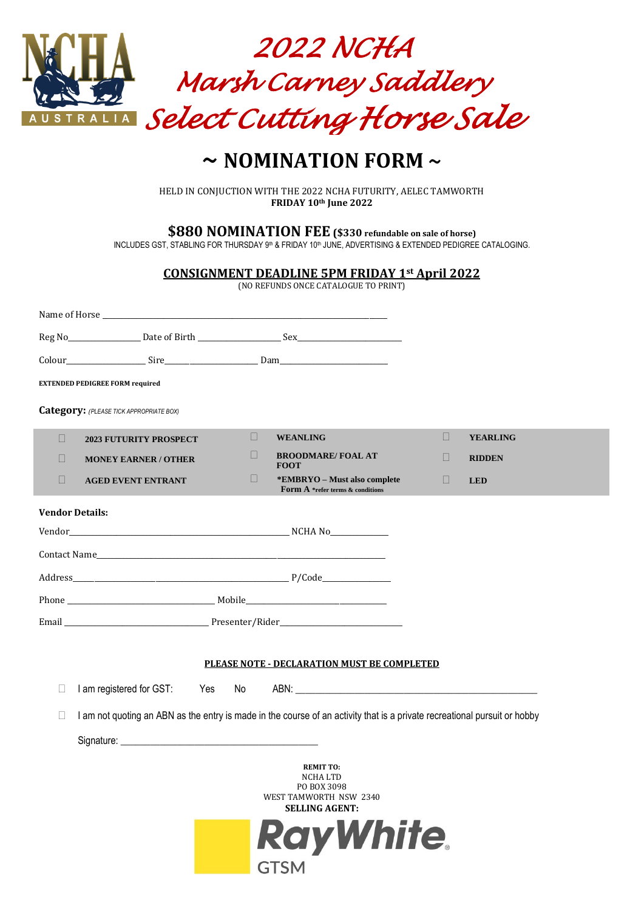

# **~ NOMINATION FORM ~**

HELD IN CONJUCTION WITH THE 2022 NCHA FUTURITY, AELEC TAMWORTH **FRIDAY 10th June 2022**

**\$880 NOMINATION FEE (\$330 refundable on sale of horse)**

INCLUDES GST, STABLING FOR THURSDAY 9th & FRIDAY 10th JUNE, ADVERTISING & EXTENDED PEDIGREE CATALOGING.

|                        |                                                                                                                                                                                                                                |     |      |             | <b>CONSIGNMENT DEADLINE 5PM FRIDAY 1st April 2022</b><br>(NO REFUNDS ONCE CATALOGUE TO PRINT)                      |  |   |                 |  |
|------------------------|--------------------------------------------------------------------------------------------------------------------------------------------------------------------------------------------------------------------------------|-----|------|-------------|--------------------------------------------------------------------------------------------------------------------|--|---|-----------------|--|
|                        | Name of Horse League and the contract of the contract of the contract of the contract of the contract of the contract of the contract of the contract of the contract of the contract of the contract of the contract of the c |     |      |             |                                                                                                                    |  |   |                 |  |
|                        |                                                                                                                                                                                                                                |     |      |             |                                                                                                                    |  |   |                 |  |
|                        |                                                                                                                                                                                                                                |     |      |             |                                                                                                                    |  |   |                 |  |
|                        | <b>EXTENDED PEDIGREE FORM required</b>                                                                                                                                                                                         |     |      |             |                                                                                                                    |  |   |                 |  |
|                        | <b>Category:</b> (PLEASE TICK APPROPRIATE BOX)                                                                                                                                                                                 |     |      |             |                                                                                                                    |  |   |                 |  |
| ш                      | <b>2023 FUTURITY PROSPECT</b>                                                                                                                                                                                                  |     | ш    |             | <b>WEANLING</b>                                                                                                    |  | П | <b>YEARLING</b> |  |
| П                      | <b>MONEY EARNER / OTHER</b>                                                                                                                                                                                                    |     | Ш    | <b>FOOT</b> | <b>BROODMARE/FOAL AT</b>                                                                                           |  | П | <b>RIDDEN</b>   |  |
| $\Box$                 | <b>AGED EVENT ENTRANT</b>                                                                                                                                                                                                      |     | ш    |             | *EMBRYO - Must also complete<br><b>Form A</b> *refer terms & conditions                                            |  | Ш | <b>LED</b>      |  |
| <b>Vendor Details:</b> |                                                                                                                                                                                                                                |     |      |             |                                                                                                                    |  |   |                 |  |
|                        |                                                                                                                                                                                                                                |     |      |             |                                                                                                                    |  |   |                 |  |
|                        |                                                                                                                                                                                                                                |     |      |             |                                                                                                                    |  |   |                 |  |
|                        |                                                                                                                                                                                                                                |     |      |             |                                                                                                                    |  |   |                 |  |
|                        |                                                                                                                                                                                                                                |     |      |             |                                                                                                                    |  |   |                 |  |
|                        |                                                                                                                                                                                                                                |     |      |             |                                                                                                                    |  |   |                 |  |
|                        |                                                                                                                                                                                                                                |     |      |             |                                                                                                                    |  |   |                 |  |
|                        |                                                                                                                                                                                                                                |     |      |             | PLEASE NOTE - DECLARATION MUST BE COMPLETED                                                                        |  |   |                 |  |
| $\Box$                 | I am registered for GST:                                                                                                                                                                                                       | Yes | No l |             |                                                                                                                    |  |   |                 |  |
| $\Box$                 | I am not quoting an ABN as the entry is made in the course of an activity that is a private recreational pursuit or hobby                                                                                                      |     |      |             |                                                                                                                    |  |   |                 |  |
|                        |                                                                                                                                                                                                                                |     |      |             |                                                                                                                    |  |   |                 |  |
|                        |                                                                                                                                                                                                                                |     |      | <b>GTSM</b> | <b>REMIT TO:</b><br>NCHA LTD<br>PO BOX 3098<br>WEST TAMWORTH NSW 2340<br><b>SELLING AGENT:</b><br><b>RayWhite.</b> |  |   |                 |  |